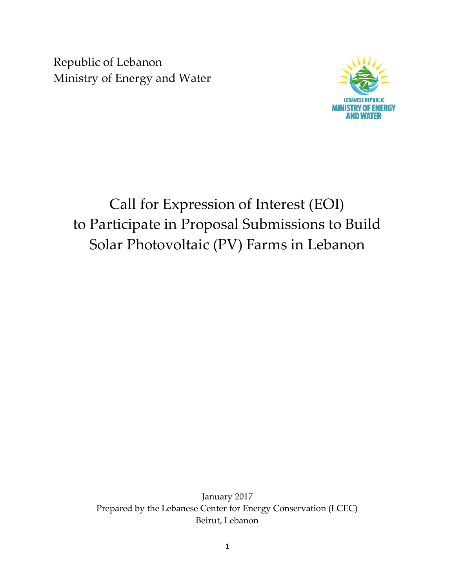Republic of Lebanon Ministry of Energy and Water



# Call for Expression of Interest (EOI) to Participate in Proposal Submissions to Build Solar Photovoltaic (PV) Farms in Lebanon

January 2017 Prepared by the Lebanese Center for Energy Conservation (LCEC) Beirut, Lebanon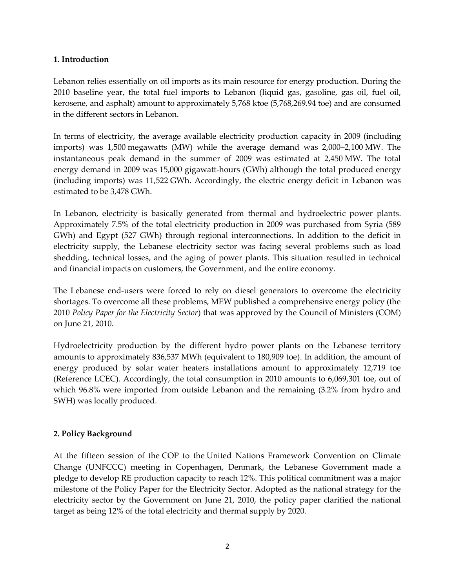#### 1. Introduction

Lebanon relies essentially on oil imports as its main resource for energy production. During the 2010 baseline year, the total fuel imports to Lebanon (liquid gas, gasoline, gas oil, fuel oil, kerosene, and asphalt) amount to approximately 5,768 ktoe (5,768,269.94 toe) and are consumed in the different sectors in Lebanon.

In terms of electricity, the average available electricity production capacity in 2009 (including imports) was 1,500 megawatts (MW) while the average demand was 2,000–2,100 MW. The instantaneous peak demand in the summer of 2009 was estimated at 2,450 MW. The total energy demand in 2009 was 15,000 gigawatt-hours (GWh) although the total produced energy (including imports) was 11,522 GWh. Accordingly, the electric energy deficit in Lebanon was estimated to be 3,478 GWh.

In Lebanon, electricity is basically generated from thermal and hydroelectric power plants. Approximately 7.5% of the total electricity production in 2009 was purchased from Syria (589 GWh) and Egypt (527 GWh) through regional interconnections. In addition to the deficit in electricity supply, the Lebanese electricity sector was facing several problems such as load shedding, technical losses, and the aging of power plants. This situation resulted in technical and financial impacts on customers, the Government, and the entire economy.

The Lebanese end-users were forced to rely on diesel generators to overcome the electricity shortages. To overcome all these problems, MEW published a comprehensive energy policy (the 2010 Policy Paper for the Electricity Sector) that was approved by the Council of Ministers (COM) on June 21, 2010.

Hydroelectricity production by the different hydro power plants on the Lebanese territory amounts to approximately 836,537 MWh (equivalent to 180,909 toe). In addition, the amount of energy produced by solar water heaters installations amount to approximately 12,719 toe (Reference LCEC). Accordingly, the total consumption in 2010 amounts to 6,069,301 toe, out of which 96.8% were imported from outside Lebanon and the remaining (3.2% from hydro and SWH) was locally produced.

## 2. Policy Background

At the fifteen session of the COP to the United Nations Framework Convention on Climate Change (UNFCCC) meeting in Copenhagen, Denmark, the Lebanese Government made a pledge to develop RE production capacity to reach 12%. This political commitment was a major milestone of the Policy Paper for the Electricity Sector. Adopted as the national strategy for the electricity sector by the Government on June 21, 2010, the policy paper clarified the national target as being 12% of the total electricity and thermal supply by 2020.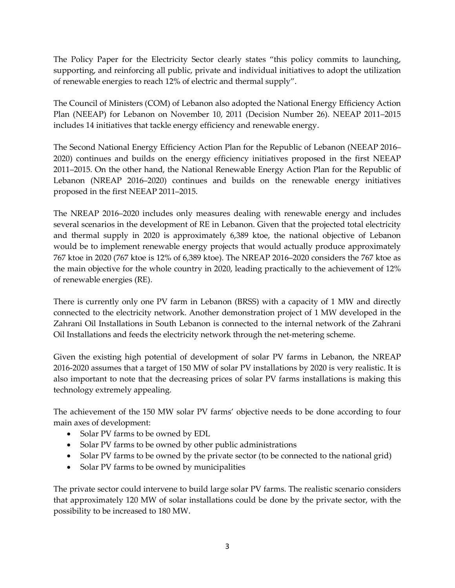The Policy Paper for the Electricity Sector clearly states "this policy commits to launching, supporting, and reinforcing all public, private and individual initiatives to adopt the utilization of renewable energies to reach 12% of electric and thermal supply".

The Council of Ministers (COM) of Lebanon also adopted the National Energy Efficiency Action Plan (NEEAP) for Lebanon on November 10, 2011 (Decision Number 26). NEEAP 2011–2015 includes 14 initiatives that tackle energy efficiency and renewable energy.

The Second National Energy Efficiency Action Plan for the Republic of Lebanon (NEEAP 2016– 2020) continues and builds on the energy efficiency initiatives proposed in the first NEEAP 2011–2015. On the other hand, the National Renewable Energy Action Plan for the Republic of Lebanon (NREAP 2016–2020) continues and builds on the renewable energy initiatives proposed in the first NEEAP 2011–2015.

The NREAP 2016–2020 includes only measures dealing with renewable energy and includes several scenarios in the development of RE in Lebanon. Given that the projected total electricity and thermal supply in 2020 is approximately 6,389 ktoe, the national objective of Lebanon would be to implement renewable energy projects that would actually produce approximately 767 ktoe in 2020 (767 ktoe is 12% of 6,389 ktoe). The NREAP 2016–2020 considers the 767 ktoe as the main objective for the whole country in 2020, leading practically to the achievement of 12% of renewable energies (RE).

There is currently only one PV farm in Lebanon (BRSS) with a capacity of 1 MW and directly connected to the electricity network. Another demonstration project of 1 MW developed in the Zahrani Oil Installations in South Lebanon is connected to the internal network of the Zahrani Oil Installations and feeds the electricity network through the net-metering scheme.

Given the existing high potential of development of solar PV farms in Lebanon, the NREAP 2016-2020 assumes that a target of 150 MW of solar PV installations by 2020 is very realistic. It is also important to note that the decreasing prices of solar PV farms installations is making this technology extremely appealing.

The achievement of the 150 MW solar PV farms' objective needs to be done according to four main axes of development:

- Solar PV farms to be owned by EDL
- Solar PV farms to be owned by other public administrations
- Solar PV farms to be owned by the private sector (to be connected to the national grid)
- Solar PV farms to be owned by municipalities

The private sector could intervene to build large solar PV farms. The realistic scenario considers that approximately 120 MW of solar installations could be done by the private sector, with the possibility to be increased to 180 MW.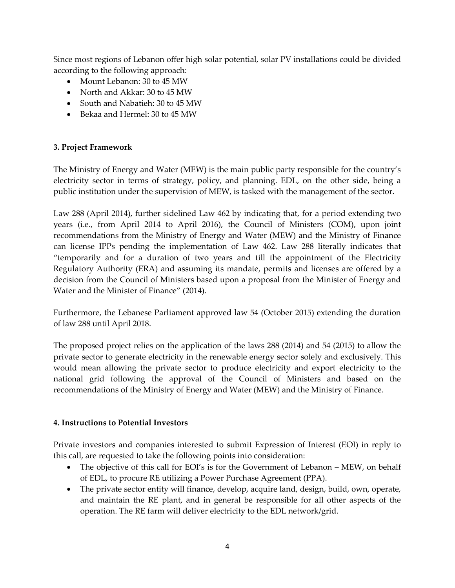Since most regions of Lebanon offer high solar potential, solar PV installations could be divided according to the following approach:

- Mount Lebanon: 30 to 45 MW
- North and Akkar: 30 to 45 MW
- South and Nabatieh: 30 to 45 MW
- Bekaa and Hermel: 30 to 45 MW

## 3. Project Framework

The Ministry of Energy and Water (MEW) is the main public party responsible for the country's electricity sector in terms of strategy, policy, and planning. EDL, on the other side, being a public institution under the supervision of MEW, is tasked with the management of the sector.

Law 288 (April 2014), further sidelined Law 462 by indicating that, for a period extending two years (i.e., from April 2014 to April 2016), the Council of Ministers (COM), upon joint recommendations from the Ministry of Energy and Water (MEW) and the Ministry of Finance can license IPPs pending the implementation of Law 462. Law 288 literally indicates that "temporarily and for a duration of two years and till the appointment of the Electricity Regulatory Authority (ERA) and assuming its mandate, permits and licenses are offered by a decision from the Council of Ministers based upon a proposal from the Minister of Energy and Water and the Minister of Finance" (2014).

Furthermore, the Lebanese Parliament approved law 54 (October 2015) extending the duration of law 288 until April 2018.

The proposed project relies on the application of the laws 288 (2014) and 54 (2015) to allow the private sector to generate electricity in the renewable energy sector solely and exclusively. This would mean allowing the private sector to produce electricity and export electricity to the national grid following the approval of the Council of Ministers and based on the recommendations of the Ministry of Energy and Water (MEW) and the Ministry of Finance.

#### 4. Instructions to Potential Investors

Private investors and companies interested to submit Expression of Interest (EOI) in reply to this call, are requested to take the following points into consideration:

- The objective of this call for EOI's is for the Government of Lebanon MEW, on behalf of EDL, to procure RE utilizing a Power Purchase Agreement (PPA).
- The private sector entity will finance, develop, acquire land, design, build, own, operate, and maintain the RE plant, and in general be responsible for all other aspects of the operation. The RE farm will deliver electricity to the EDL network/grid.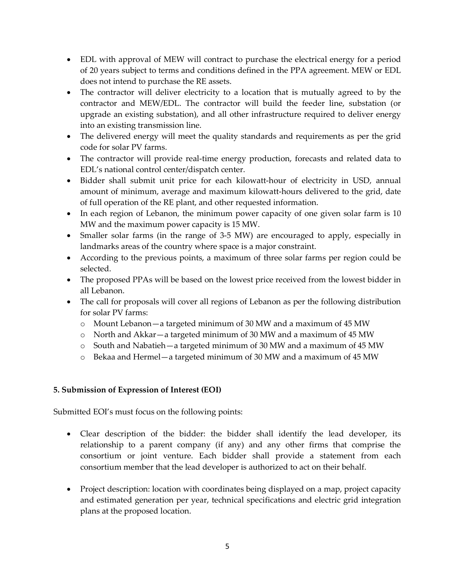- EDL with approval of MEW will contract to purchase the electrical energy for a period of 20 years subject to terms and conditions defined in the PPA agreement. MEW or EDL does not intend to purchase the RE assets.
- The contractor will deliver electricity to a location that is mutually agreed to by the contractor and MEW/EDL. The contractor will build the feeder line, substation (or upgrade an existing substation), and all other infrastructure required to deliver energy into an existing transmission line.
- The delivered energy will meet the quality standards and requirements as per the grid code for solar PV farms.
- The contractor will provide real-time energy production, forecasts and related data to EDL's national control center/dispatch center.
- Bidder shall submit unit price for each kilowatt-hour of electricity in USD, annual amount of minimum, average and maximum kilowatt-hours delivered to the grid, date of full operation of the RE plant, and other requested information.
- In each region of Lebanon, the minimum power capacity of one given solar farm is 10 MW and the maximum power capacity is 15 MW.
- Smaller solar farms (in the range of 3-5 MW) are encouraged to apply, especially in landmarks areas of the country where space is a major constraint.
- According to the previous points, a maximum of three solar farms per region could be selected.
- The proposed PPAs will be based on the lowest price received from the lowest bidder in all Lebanon.
- The call for proposals will cover all regions of Lebanon as per the following distribution for solar PV farms:
	- o Mount Lebanon—a targeted minimum of 30 MW and a maximum of 45 MW
	- o North and Akkar—a targeted minimum of 30 MW and a maximum of 45 MW
	- o South and Nabatieh—a targeted minimum of 30 MW and a maximum of 45 MW
	- o Bekaa and Hermel—a targeted minimum of 30 MW and a maximum of 45 MW

## 5. Submission of Expression of Interest (EOI)

Submitted EOI's must focus on the following points:

- Clear description of the bidder: the bidder shall identify the lead developer, its relationship to a parent company (if any) and any other firms that comprise the consortium or joint venture. Each bidder shall provide a statement from each consortium member that the lead developer is authorized to act on their behalf.
- Project description: location with coordinates being displayed on a map, project capacity and estimated generation per year, technical specifications and electric grid integration plans at the proposed location.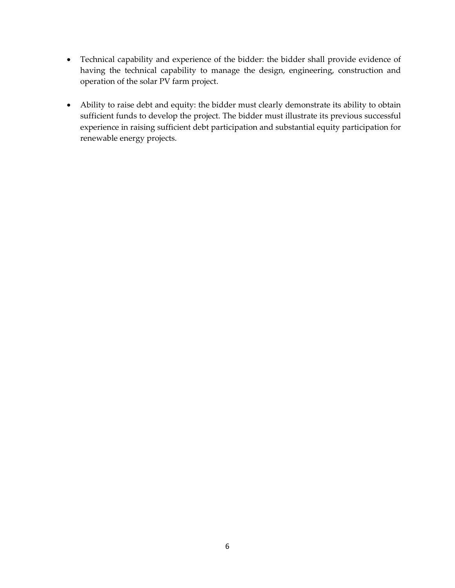- Technical capability and experience of the bidder: the bidder shall provide evidence of having the technical capability to manage the design, engineering, construction and operation of the solar PV farm project.
- Ability to raise debt and equity: the bidder must clearly demonstrate its ability to obtain sufficient funds to develop the project. The bidder must illustrate its previous successful experience in raising sufficient debt participation and substantial equity participation for renewable energy projects.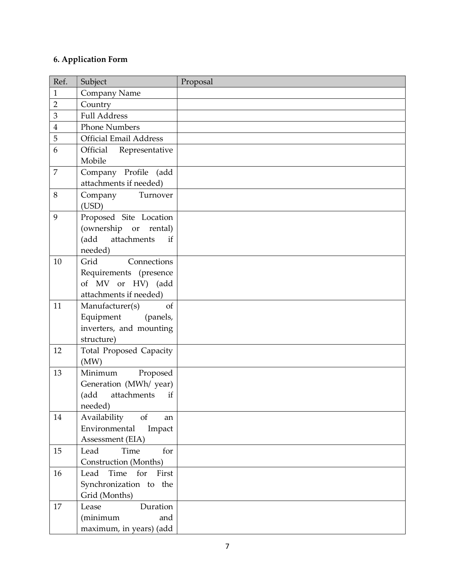# 6. Application Form

| Ref.           | Subject                                                                                 | Proposal |
|----------------|-----------------------------------------------------------------------------------------|----------|
| $\mathbf{1}$   | Company Name                                                                            |          |
| $\overline{2}$ | Country                                                                                 |          |
| 3              | <b>Full Address</b>                                                                     |          |
| $\overline{4}$ | <b>Phone Numbers</b>                                                                    |          |
| 5              | <b>Official Email Address</b>                                                           |          |
| 6              | Official<br>Representative                                                              |          |
|                | Mobile                                                                                  |          |
| $\overline{7}$ | Company Profile (add<br>attachments if needed)                                          |          |
| 8              | Company Turnover<br>(USD)                                                               |          |
| 9              | Proposed Site Location<br>(ownership or rental)<br>attachments<br>(add<br>if<br>needed) |          |
| 10             | Grid<br>Connections                                                                     |          |
|                | Requirements (presence<br>of MV or HV) (add<br>attachments if needed)                   |          |
| 11             | Manufacturer(s)<br><sub>of</sub>                                                        |          |
|                | Equipment<br>(panels,                                                                   |          |
|                | inverters, and mounting                                                                 |          |
|                | structure)                                                                              |          |
| 12             | <b>Total Proposed Capacity</b><br>(MW)                                                  |          |
| 13             | Minimum<br>Proposed                                                                     |          |
|                | Generation (MWh/ year)<br>attachments<br>(add<br>if                                     |          |
|                | needed)                                                                                 |          |
| 14             | Availability<br>of<br>an                                                                |          |
|                | Environmental<br>Impact                                                                 |          |
|                | Assessment (EIA)                                                                        |          |
| 15             | Time<br>for<br>Lead                                                                     |          |
|                | Construction (Months)                                                                   |          |
| 16             | for<br>Time<br>Lead<br>First                                                            |          |
|                | Synchronization to the                                                                  |          |
|                | Grid (Months)                                                                           |          |
| 17             | Lease<br>Duration                                                                       |          |
|                | (minimum<br>and                                                                         |          |
|                | maximum, in years) (add                                                                 |          |